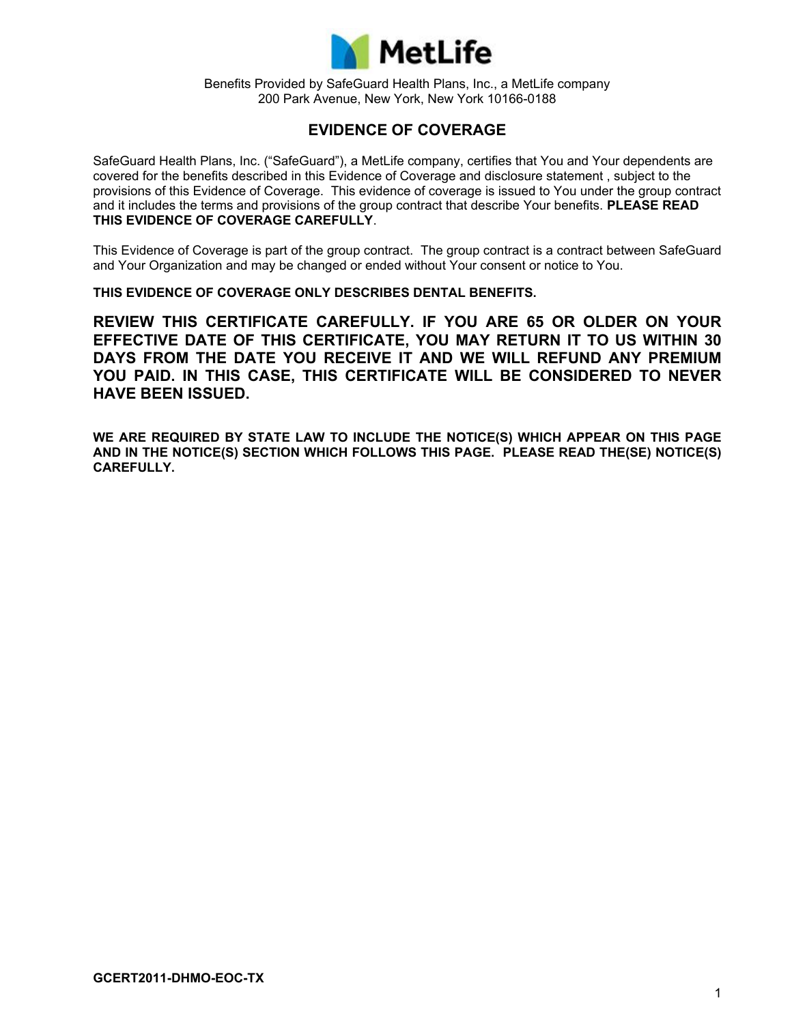

Benefits Provided by SafeGuard Health Plans, Inc., a MetLife company 200 Park Avenue, New York, New York 10166-0188

# **EVIDENCE OF COVERAGE**

SafeGuard Health Plans, Inc. ("SafeGuard"), a MetLife company, certifies that You and Your dependents are covered for the benefits described in this Evidence of Coverage and disclosure statement , subject to the provisions of this Evidence of Coverage. This evidence of coverage is issued to You under the group contract and it includes the terms and provisions of the group contract that describe Your benefits. **PLEASE READ THIS EVIDENCE OF COVERAGE CAREFULLY**.

This Evidence of Coverage is part of the group contract. The group contract is a contract between SafeGuard and Your Organization and may be changed or ended without Your consent or notice to You.

**THIS EVIDENCE OF COVERAGE ONLY DESCRIBES DENTAL BENEFITS.**

**REVIEW THIS CERTIFICATE CAREFULLY. IF YOU ARE 65 OR OLDER ON YOUR EFFECTIVE DATE OF THIS CERTIFICATE, YOU MAY RETURN IT TO US WITHIN 30 DAYS FROM THE DATE YOU RECEIVE IT AND WE WILL REFUND ANY PREMIUM YOU PAID. IN THIS CASE, THIS CERTIFICATE WILL BE CONSIDERED TO NEVER HAVE BEEN ISSUED.**

**WE ARE REQUIRED BY STATE LAW TO INCLUDE THE NOTICE(S) WHICH APPEAR ON THIS PAGE AND IN THE NOTICE(S) SECTION WHICH FOLLOWS THIS PAGE. PLEASE READ THE(SE) NOTICE(S) CAREFULLY.**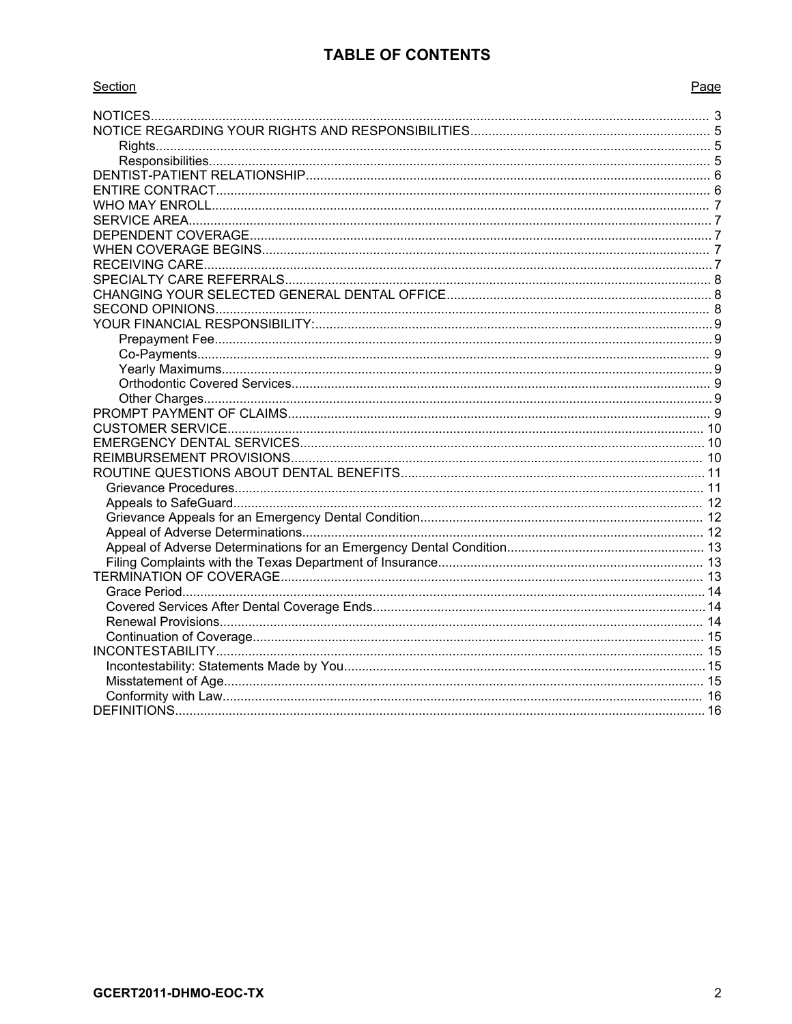# **TABLE OF CONTENTS**

# Section

# Page

| NOTICES. |  |
|----------|--|
|          |  |
|          |  |
|          |  |
|          |  |
|          |  |
|          |  |
|          |  |
|          |  |
|          |  |
|          |  |
|          |  |
|          |  |
|          |  |
|          |  |
|          |  |
|          |  |
|          |  |
|          |  |
|          |  |
|          |  |
|          |  |
|          |  |
|          |  |
|          |  |
|          |  |
|          |  |
|          |  |
|          |  |
|          |  |
|          |  |
|          |  |
|          |  |
|          |  |
|          |  |
|          |  |
|          |  |
|          |  |
|          |  |
|          |  |
|          |  |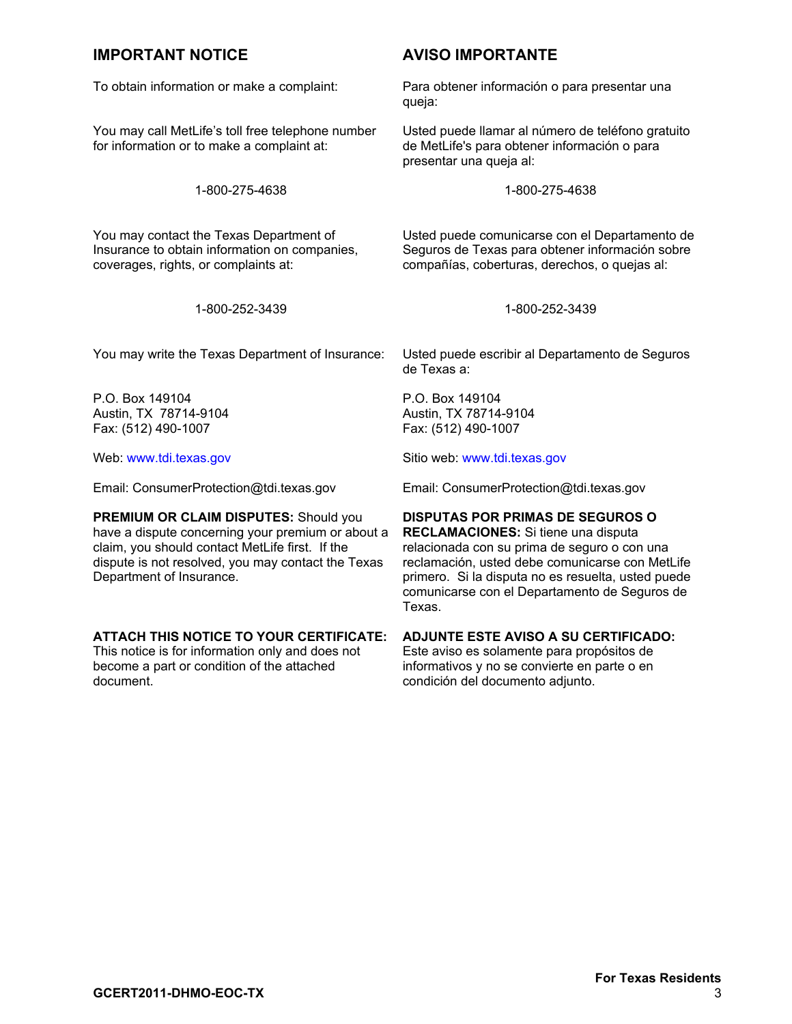## **IMPORTANT NOTICE**

<span id="page-2-0"></span>To obtain information or make a complaint:

You may call MetLife's toll free telephone number for information or to make a complaint at:

1-800-275-4638

You may contact the Texas Department of Insurance to obtain information on companies, coverages, rights, or complaints at:

#### 1-800-252-3439

You may write the Texas Department of Insurance:

P.O. Box 149104 Austin, TX 78714-9104 Fax: (512) 490-1007

Web: <www.tdi.texas.gov>

Email: ConsumerProtection@tdi.texas.gov

**PREMIUM OR CLAIM DISPUTES:** Should you have a dispute concerning your premium or about a claim, you should contact MetLife first. If the dispute is not resolved, you may contact the Texas Department of Insurance.

#### **ATTACH THIS NOTICE TO YOUR CERTIFICATE:**

This notice is for information only and does not become a part or condition of the attached document.

## **AVISO IMPORTANTE**

Para obtener información o para presentar una queja:

Usted puede llamar al número de teléfono gratuito de MetLife's para obtener información o para presentar una queja al:

1-800-275-4638

Usted puede comunicarse con el Departamento de Seguros de Texas para obtener información sobre compañías, coberturas, derechos, o quejas al:

#### 1-800-252-3439

Usted puede escribir al Departamento de Seguros de Texas a:

P.O. Box 149104 Austin, TX 78714-9104 Fax: (512) 490-1007

Sitio web: <www.tdi.texas.gov>

Email: ConsumerProtection@tdi.texas.gov

**DISPUTAS POR PRIMAS DE SEGUROS O RECLAMACIONES:** Si tiene una disputa relacionada con su prima de seguro o con una reclamación, usted debe comunicarse con MetLife primero. Si la disputa no es resuelta, usted puede comunicarse con el Departamento de Seguros de Texas.

#### **ADJUNTE ESTE AVISO A SU CERTIFICADO:**

Este aviso es solamente para propósitos de informativos y no se convierte en parte o en condición del documento adjunto.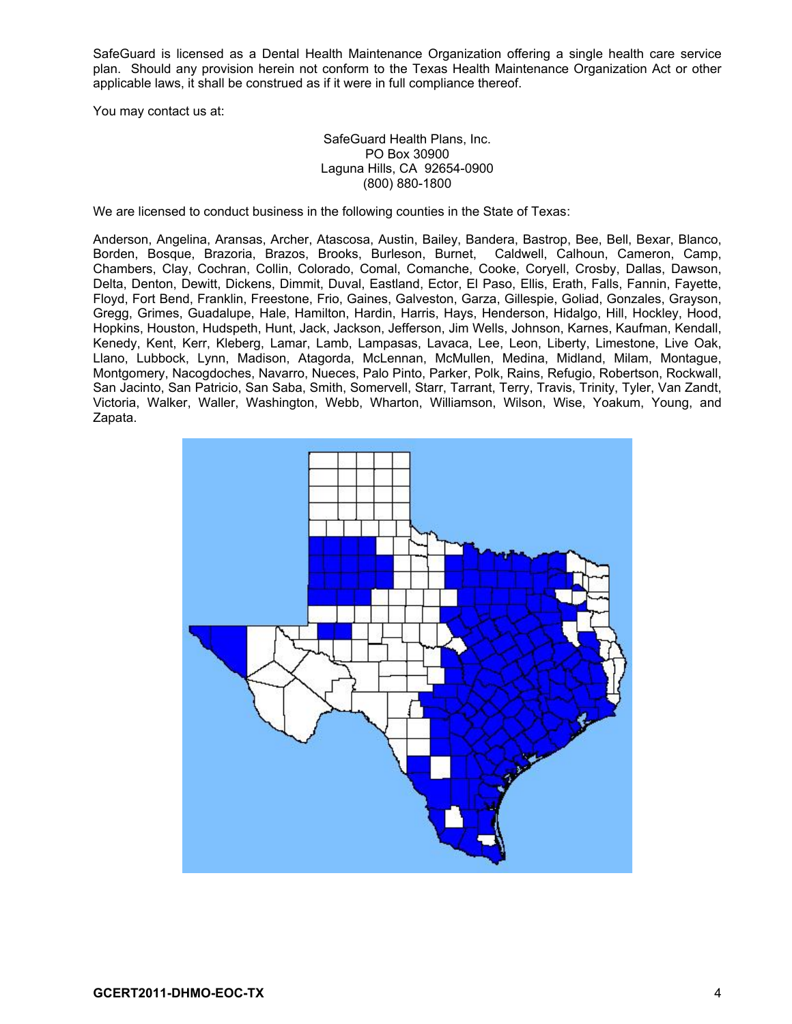SafeGuard is licensed as a Dental Health Maintenance Organization offering a single health care service plan. Should any provision herein not conform to the Texas Health Maintenance Organization Act or other applicable laws, it shall be construed as if it were in full compliance thereof.

You may contact us at:

#### SafeGuard Health Plans, Inc. PO Box 30900 Laguna Hills, CA 92654-0900 (800) 880-1800

<span id="page-3-0"></span>We are licensed to conduct business in the following counties in the State of Texas:

Anderson, Angelina, Aransas, Archer, Atascosa, Austin, Bailey, Bandera, Bastrop, Bee, Bell, Bexar, Blanco, Borden, Bosque, Brazoria, Brazos, Brooks, Burleson, Burnet, Caldwell, Calhoun, Cameron, Camp, Chambers, Clay, Cochran, Collin, Colorado, Comal, Comanche, Cooke, Coryell, Crosby, Dallas, Dawson, Delta, Denton, Dewitt, Dickens, Dimmit, Duval, Eastland, Ector, El Paso, Ellis, Erath, Falls, Fannin, Fayette, Floyd, Fort Bend, Franklin, Freestone, Frio, Gaines, Galveston, Garza, Gillespie, Goliad, Gonzales, Grayson, Gregg, Grimes, Guadalupe, Hale, Hamilton, Hardin, Harris, Hays, Henderson, Hidalgo, Hill, Hockley, Hood, Hopkins, Houston, Hudspeth, Hunt, Jack, Jackson, Jefferson, Jim Wells, Johnson, Karnes, Kaufman, Kendall, Kenedy, Kent, Kerr, Kleberg, Lamar, Lamb, Lampasas, Lavaca, Lee, Leon, Liberty, Limestone, Live Oak, Llano, Lubbock, Lynn, Madison, Atagorda, McLennan, McMullen, Medina, Midland, Milam, Montague, Montgomery, Nacogdoches, Navarro, Nueces, Palo Pinto, Parker, Polk, Rains, Refugio, Robertson, Rockwall, San Jacinto, San Patricio, San Saba, Smith, Somervell, Starr, Tarrant, Terry, Travis, Trinity, Tyler, Van Zandt, Victoria, Walker, Waller, Washington, Webb, Wharton, Williamson, Wilson, Wise, Yoakum, Young, and Zapata.

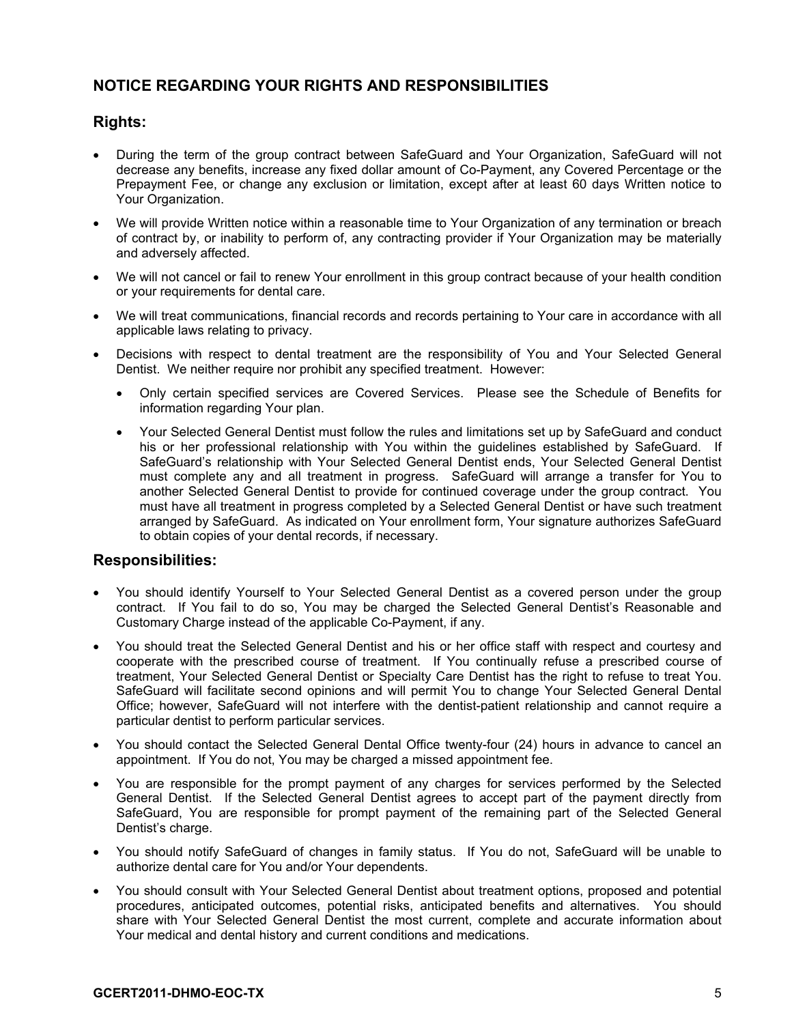# <span id="page-4-0"></span>**NOTICE REGARDING YOUR RIGHTS AND RESPONSIBILITIES**

# <span id="page-4-1"></span>**Rights:**

- · During the term of the group contract between SafeGuard and Your Organization, SafeGuard will not decrease any benefits, increase any fixed dollar amount of Co-Payment, any Covered Percentage or the Prepayment Fee, or change any exclusion or limitation, except after at least 60 days Written notice to Your Organization.
- · We will provide Written notice within a reasonable time to Your Organization of any termination or breach of contract by, or inability to perform of, any contracting provider if Your Organization may be materially and adversely affected.
- We will not cancel or fail to renew Your enrollment in this group contract because of your health condition or your requirements for dental care.
- · We will treat communications, financial records and records pertaining to Your care in accordance with all applicable laws relating to privacy.
- Decisions with respect to dental treatment are the responsibility of You and Your Selected General Dentist. We neither require nor prohibit any specified treatment. However:
	- · Only certain specified services are Covered Services. Please see the Schedule of Benefits for information regarding Your plan.
	- · Your Selected General Dentist must follow the rules and limitations set up by SafeGuard and conduct his or her professional relationship with You within the guidelines established by SafeGuard. If SafeGuard's relationship with Your Selected General Dentist ends, Your Selected General Dentist must complete any and all treatment in progress. SafeGuard will arrange a transfer for You to another Selected General Dentist to provide for continued coverage under the group contract. You must have all treatment in progress completed by a Selected General Dentist or have such treatment arranged by SafeGuard. As indicated on Your enrollment form, Your signature authorizes SafeGuard to obtain copies of your dental records, if necessary.

## <span id="page-4-2"></span>**Responsibilities:**

- · You should identify Yourself to Your Selected General Dentist as a covered person under the group contract. If You fail to do so, You may be charged the Selected General Dentist's Reasonable and Customary Charge instead of the applicable Co-Payment, if any.
- · You should treat the Selected General Dentist and his or her office staff with respect and courtesy and cooperate with the prescribed course of treatment. If You continually refuse a prescribed course of treatment, Your Selected General Dentist or Specialty Care Dentist has the right to refuse to treat You. SafeGuard will facilitate second opinions and will permit You to change Your Selected General Dental Office; however, SafeGuard will not interfere with the dentist-patient relationship and cannot require a particular dentist to perform particular services.
- · You should contact the Selected General Dental Office twenty-four (24) hours in advance to cancel an appointment. If You do not, You may be charged a missed appointment fee.
- · You are responsible for the prompt payment of any charges for services performed by the Selected General Dentist. If the Selected General Dentist agrees to accept part of the payment directly from SafeGuard, You are responsible for prompt payment of the remaining part of the Selected General Dentist's charge.
- · You should notify SafeGuard of changes in family status. If You do not, SafeGuard will be unable to authorize dental care for You and/or Your dependents.
- · You should consult with Your Selected General Dentist about treatment options, proposed and potential procedures, anticipated outcomes, potential risks, anticipated benefits and alternatives. You should share with Your Selected General Dentist the most current, complete and accurate information about Your medical and dental history and current conditions and medications.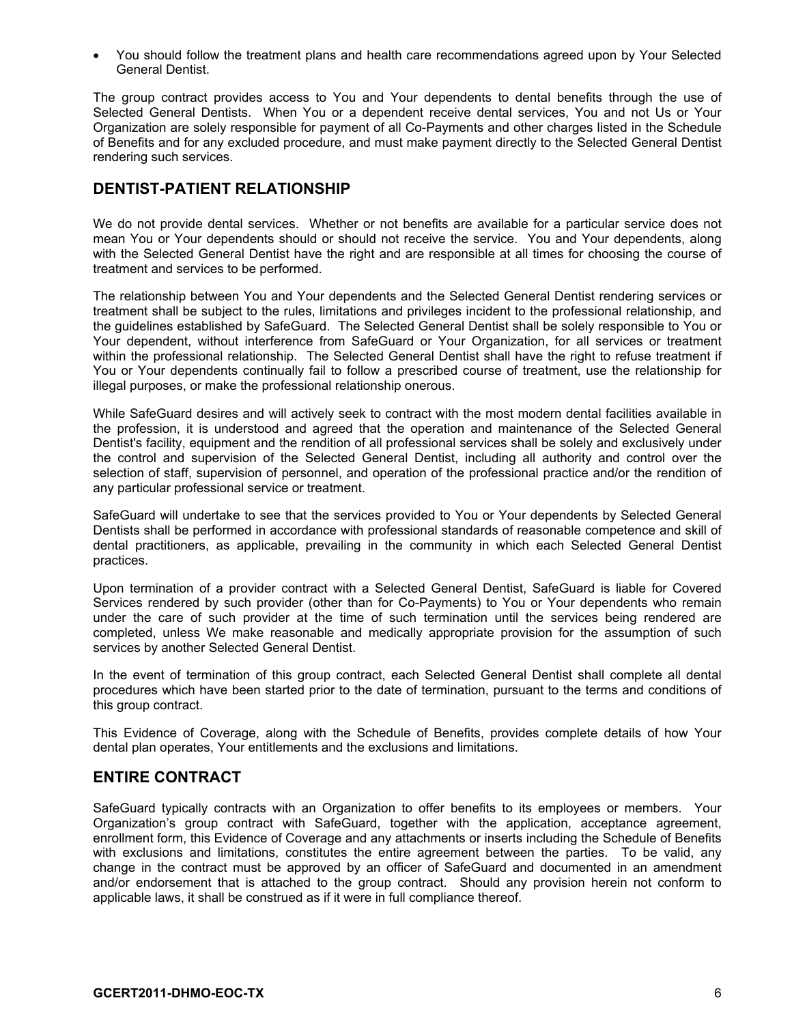· You should follow the treatment plans and health care recommendations agreed upon by Your Selected General Dentist.

The group contract provides access to You and Your dependents to dental benefits through the use of Selected General Dentists. When You or a dependent receive dental services, You and not Us or Your Organization are solely responsible for payment of all Co-Payments and other charges listed in the Schedule of Benefits and for any excluded procedure, and must make payment directly to the Selected General Dentist rendering such services.

# <span id="page-5-0"></span>**DENTIST-PATIENT RELATIONSHIP**

We do not provide dental services. Whether or not benefits are available for a particular service does not mean You or Your dependents should or should not receive the service. You and Your dependents, along with the Selected General Dentist have the right and are responsible at all times for choosing the course of treatment and services to be performed.

The relationship between You and Your dependents and the Selected General Dentist rendering services or treatment shall be subject to the rules, limitations and privileges incident to the professional relationship, and the guidelines established by SafeGuard. The Selected General Dentist shall be solely responsible to You or Your dependent, without interference from SafeGuard or Your Organization, for all services or treatment within the professional relationship. The Selected General Dentist shall have the right to refuse treatment if You or Your dependents continually fail to follow a prescribed course of treatment, use the relationship for illegal purposes, or make the professional relationship onerous.

While SafeGuard desires and will actively seek to contract with the most modern dental facilities available in the profession, it is understood and agreed that the operation and maintenance of the Selected General Dentist's facility, equipment and the rendition of all professional services shall be solely and exclusively under the control and supervision of the Selected General Dentist, including all authority and control over the selection of staff, supervision of personnel, and operation of the professional practice and/or the rendition of any particular professional service or treatment.

SafeGuard will undertake to see that the services provided to You or Your dependents by Selected General Dentists shall be performed in accordance with professional standards of reasonable competence and skill of dental practitioners, as applicable, prevailing in the community in which each Selected General Dentist practices.

Upon termination of a provider contract with a Selected General Dentist, SafeGuard is liable for Covered Services rendered by such provider (other than for Co-Payments) to You or Your dependents who remain under the care of such provider at the time of such termination until the services being rendered are completed, unless We make reasonable and medically appropriate provision for the assumption of such services by another Selected General Dentist.

In the event of termination of this group contract, each Selected General Dentist shall complete all dental procedures which have been started prior to the date of termination, pursuant to the terms and conditions of this group contract.

This Evidence of Coverage, along with the Schedule of Benefits, provides complete details of how Your dental plan operates, Your entitlements and the exclusions and limitations.

## <span id="page-5-1"></span>**ENTIRE CONTRACT**

SafeGuard typically contracts with an Organization to offer benefits to its employees or members. Your Organization's group contract with SafeGuard, together with the application, acceptance agreement, enrollment form, this Evidence of Coverage and any attachments or inserts including the Schedule of Benefits with exclusions and limitations, constitutes the entire agreement between the parties. To be valid, any change in the contract must be approved by an officer of SafeGuard and documented in an amendment and/or endorsement that is attached to the group contract. Should any provision herein not conform to applicable laws, it shall be construed as if it were in full compliance thereof.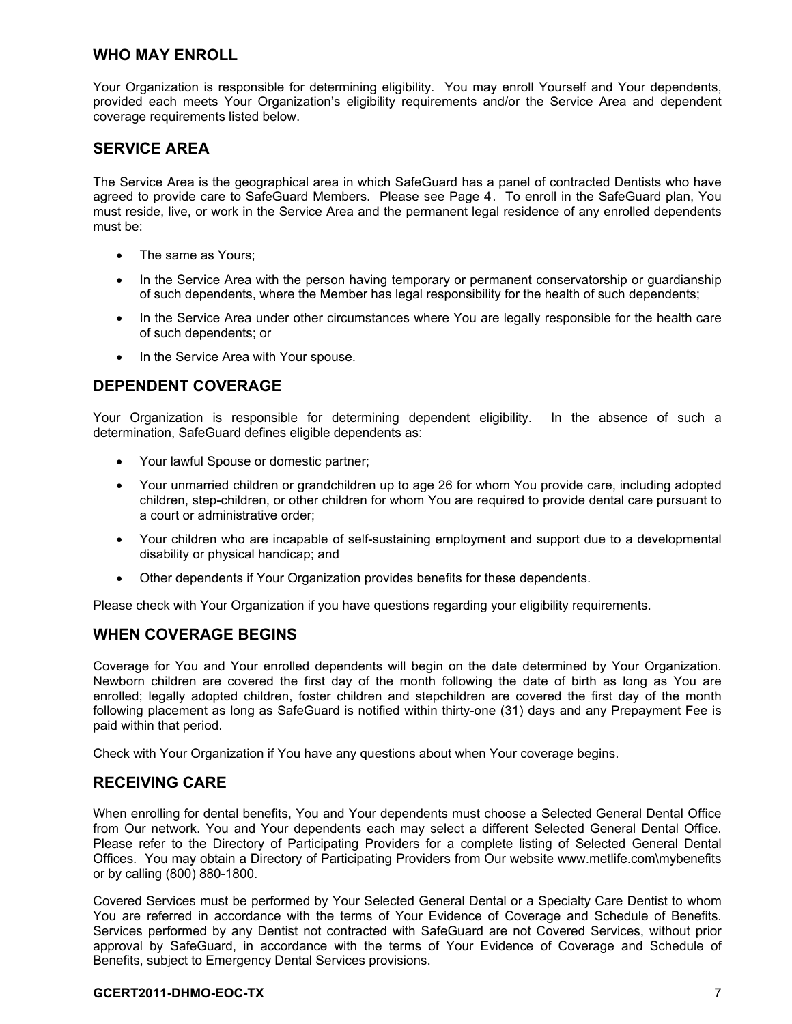## <span id="page-6-0"></span>**WHO MAY ENROLL**

Your Organization is responsible for determining eligibility. You may enroll Yourself and Your dependents, provided each meets Your Organization's eligibility requirements and/or the Service Area and dependent coverage requirements listed below.

# <span id="page-6-1"></span>**SERVICE AREA**

The Service Area is the geographical area in which SafeGuard has a panel of contracted Dentists who have agreed to provide care to SafeGuard Members. Please see Page [4.](#page-3-0) To enroll in the SafeGuard plan, You must reside, live, or work in the Service Area and the permanent legal residence of any enrolled dependents must be:

- · The same as Yours;
- · In the Service Area with the person having temporary or permanent conservatorship or guardianship of such dependents, where the Member has legal responsibility for the health of such dependents;
- · In the Service Area under other circumstances where You are legally responsible for the health care of such dependents; or
- <span id="page-6-2"></span>· In the Service Area with Your spouse.

# **DEPENDENT COVERAGE**

Your Organization is responsible for determining dependent eligibility. In the absence of such a determination, SafeGuard defines eligible dependents as:

- Your lawful Spouse or domestic partner;
- · Your unmarried children or grandchildren up to age 26 for whom You provide care, including adopted children, step-children, or other children for whom You are required to provide dental care pursuant to a court or administrative order;
- · Your children who are incapable of self-sustaining employment and support due to a developmental disability or physical handicap; and
- <span id="page-6-3"></span>· Other dependents if Your Organization provides benefits for these dependents.

Please check with Your Organization if you have questions regarding your eligibility requirements.

## **WHEN COVERAGE BEGINS**

Coverage for You and Your enrolled dependents will begin on the date determined by Your Organization. Newborn children are covered the first day of the month following the date of birth as long as You are enrolled; legally adopted children, foster children and stepchildren are covered the first day of the month following placement as long as SafeGuard is notified within thirty-one (31) days and any Prepayment Fee is paid within that period.

Check with Your Organization if You have any questions about when Your coverage begins.

## <span id="page-6-4"></span>**RECEIVING CARE**

When enrolling for dental benefits, You and Your dependents must choose a Selected General Dental Office from Our network. You and Your dependents each may select a different Selected General Dental Office. Please refer to the Directory of Participating Providers for a complete listing of Selected General Dental Offices. You may obtain a Directory of Participating Providers from Our website www.metlife.com\mybenefits or by calling (800) 880-1800.

Covered Services must be performed by Your Selected General Dental or a Specialty Care Dentist to whom You are referred in accordance with the terms of Your Evidence of Coverage and Schedule of Benefits. Services performed by any Dentist not contracted with SafeGuard are not Covered Services, without prior approval by SafeGuard, in accordance with the terms of Your Evidence of Coverage and Schedule of Benefits, subject to Emergency Dental Services provisions.

#### **GCERT2011-DHMO-EOC-TX** 7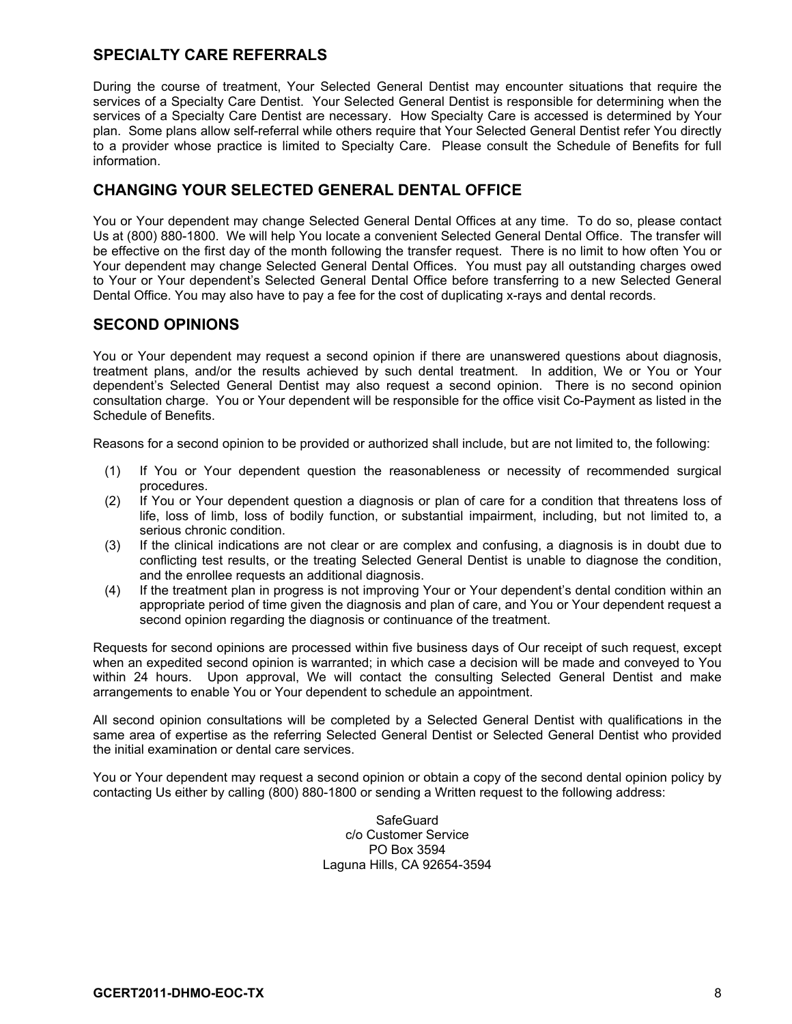# <span id="page-7-0"></span>**SPECIALTY CARE REFERRALS**

During the course of treatment, Your Selected General Dentist may encounter situations that require the services of a Specialty Care Dentist. Your Selected General Dentist is responsible for determining when the services of a Specialty Care Dentist are necessary. How Specialty Care is accessed is determined by Your plan. Some plans allow self-referral while others require that Your Selected General Dentist refer You directly to a provider whose practice is limited to Specialty Care. Please consult the Schedule of Benefits for full information.

# <span id="page-7-1"></span>**CHANGING YOUR SELECTED GENERAL DENTAL OFFICE**

You or Your dependent may change Selected General Dental Offices at any time. To do so, please contact Us at (800) 880-1800. We will help You locate a convenient Selected General Dental Office. The transfer will be effective on the first day of the month following the transfer request. There is no limit to how often You or Your dependent may change Selected General Dental Offices. You must pay all outstanding charges owed to Your or Your dependent's Selected General Dental Office before transferring to a new Selected General Dental Office. You may also have to pay a fee for the cost of duplicating x-rays and dental records.

# <span id="page-7-2"></span>**SECOND OPINIONS**

You or Your dependent may request a second opinion if there are unanswered questions about diagnosis, treatment plans, and/or the results achieved by such dental treatment. In addition, We or You or Your dependent's Selected General Dentist may also request a second opinion. There is no second opinion consultation charge. You or Your dependent will be responsible for the office visit Co-Payment as listed in the Schedule of Benefits.

Reasons for a second opinion to be provided or authorized shall include, but are not limited to, the following:

- (1) If You or Your dependent question the reasonableness or necessity of recommended surgical procedures.
- (2) If You or Your dependent question a diagnosis or plan of care for a condition that threatens loss of life, loss of limb, loss of bodily function, or substantial impairment, including, but not limited to, a serious chronic condition.
- (3) If the clinical indications are not clear or are complex and confusing, a diagnosis is in doubt due to conflicting test results, or the treating Selected General Dentist is unable to diagnose the condition, and the enrollee requests an additional diagnosis.
- (4) If the treatment plan in progress is not improving Your or Your dependent's dental condition within an appropriate period of time given the diagnosis and plan of care, and You or Your dependent request a second opinion regarding the diagnosis or continuance of the treatment.

Requests for second opinions are processed within five business days of Our receipt of such request, except when an expedited second opinion is warranted; in which case a decision will be made and conveyed to You within 24 hours. Upon approval, We will contact the consulting Selected General Dentist and make arrangements to enable You or Your dependent to schedule an appointment.

All second opinion consultations will be completed by a Selected General Dentist with qualifications in the same area of expertise as the referring Selected General Dentist or Selected General Dentist who provided the initial examination or dental care services.

You or Your dependent may request a second opinion or obtain a copy of the second dental opinion policy by contacting Us either by calling (800) 880-1800 or sending a Written request to the following address:

> **SafeGuard** c/o Customer Service PO Box 3594 Laguna Hills, CA 92654-3594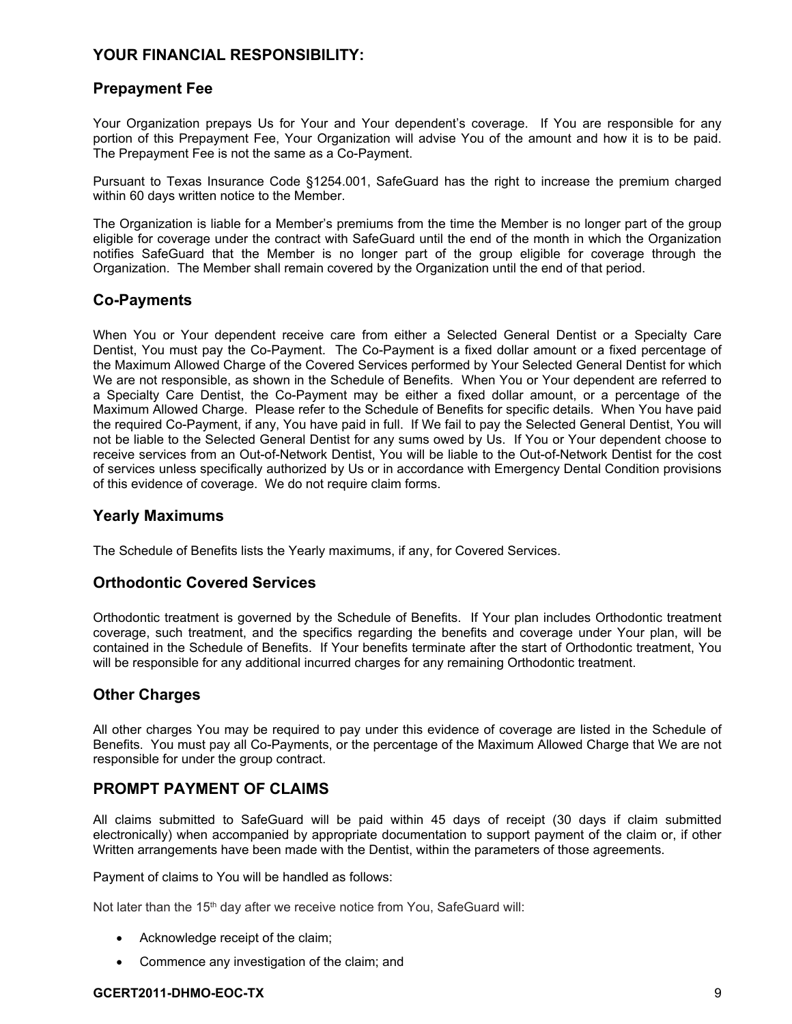# <span id="page-8-0"></span>**YOUR FINANCIAL RESPONSIBILITY:**

# <span id="page-8-1"></span>**Prepayment Fee**

Your Organization prepays Us for Your and Your dependent's coverage. If You are responsible for any portion of this Prepayment Fee, Your Organization will advise You of the amount and how it is to be paid. The Prepayment Fee is not the same as a Co-Payment.

Pursuant to Texas Insurance Code §1254.001, SafeGuard has the right to increase the premium charged within 60 days written notice to the Member.

The Organization is liable for a Member's premiums from the time the Member is no longer part of the group eligible for coverage under the contract with SafeGuard until the end of the month in which the Organization notifies SafeGuard that the Member is no longer part of the group eligible for coverage through the Organization. The Member shall remain covered by the Organization until the end of that period.

# <span id="page-8-2"></span>**Co-Payments**

When You or Your dependent receive care from either a Selected General Dentist or a Specialty Care Dentist, You must pay the Co-Payment. The Co-Payment is a fixed dollar amount or a fixed percentage of the Maximum Allowed Charge of the Covered Services performed by Your Selected General Dentist for which We are not responsible, as shown in the Schedule of Benefits. When You or Your dependent are referred to a Specialty Care Dentist, the Co-Payment may be either a fixed dollar amount, or a percentage of the Maximum Allowed Charge. Please refer to the Schedule of Benefits for specific details. When You have paid the required Co-Payment, if any, You have paid in full. If We fail to pay the Selected General Dentist, You will not be liable to the Selected General Dentist for any sums owed by Us. If You or Your dependent choose to receive services from an Out-of-Network Dentist, You will be liable to the Out-of-Network Dentist for the cost of services unless specifically authorized by Us or in accordance with Emergency Dental Condition provisions of this evidence of coverage. We do not require claim forms.

## <span id="page-8-3"></span>**Yearly Maximums**

The Schedule of Benefits lists the Yearly maximums, if any, for Covered Services.

# <span id="page-8-4"></span>**Orthodontic Covered Services**

Orthodontic treatment is governed by the Schedule of Benefits. If Your plan includes Orthodontic treatment coverage, such treatment, and the specifics regarding the benefits and coverage under Your plan, will be contained in the Schedule of Benefits. If Your benefits terminate after the start of Orthodontic treatment, You will be responsible for any additional incurred charges for any remaining Orthodontic treatment.

## <span id="page-8-5"></span>**Other Charges**

All other charges You may be required to pay under this evidence of coverage are listed in the Schedule of Benefits. You must pay all Co-Payments, or the percentage of the Maximum Allowed Charge that We are not responsible for under the group contract.

# <span id="page-8-6"></span>**PROMPT PAYMENT OF CLAIMS**

All claims submitted to SafeGuard will be paid within 45 days of receipt (30 days if claim submitted electronically) when accompanied by appropriate documentation to support payment of the claim or, if other Written arrangements have been made with the Dentist, within the parameters of those agreements.

Payment of claims to You will be handled as follows:

Not later than the 15<sup>th</sup> day after we receive notice from You, SafeGuard will:

- · Acknowledge receipt of the claim;
- · Commence any investigation of the claim; and

#### **GCERT2011-DHMO-EOC-TX** 9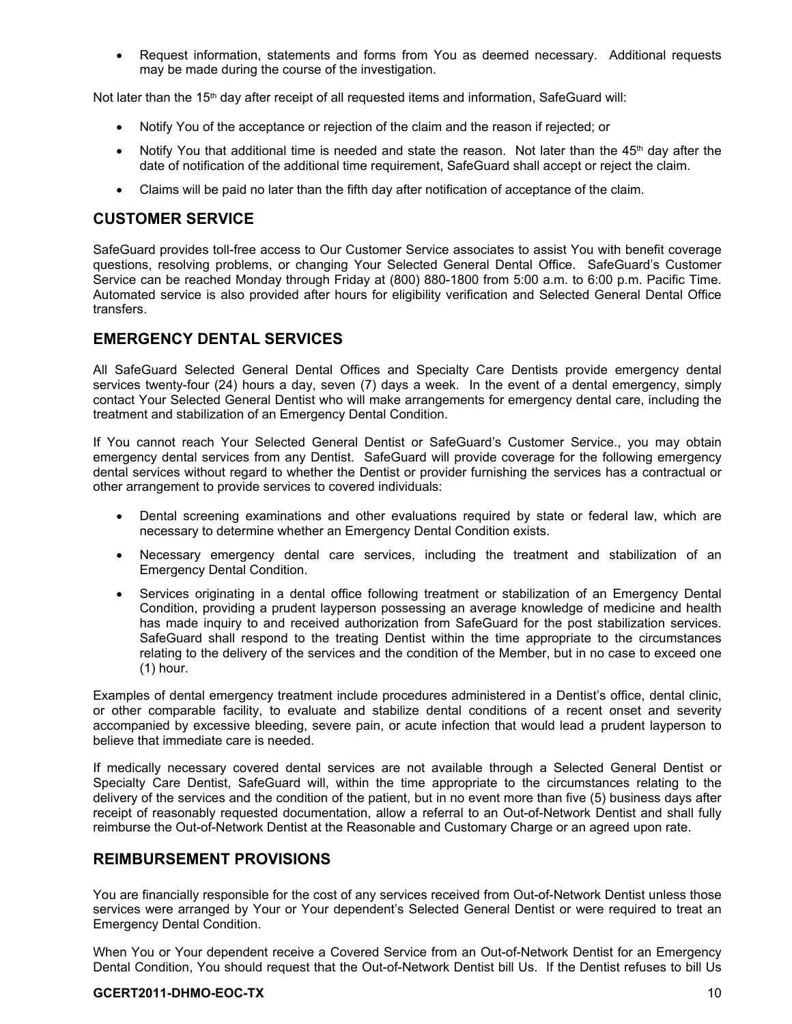· Request information, statements and forms from You as deemed necessary. Additional requests may be made during the course of the investigation.

Not later than the 15<sup>th</sup> day after receipt of all requested items and information, SafeGuard will:

- Notify You of the acceptance or rejection of the claim and the reason if rejected; or
- Notify You that additional time is needed and state the reason. Not later than the  $45<sup>th</sup>$  day after the date of notification of the additional time requirement, SafeGuard shall accept or reject the claim.
- <span id="page-9-0"></span>· Claims will be paid no later than the fifth day after notification of acceptance of the claim.

## **CUSTOMER SERVICE**

SafeGuard provides toll-free access to Our Customer Service associates to assist You with benefit coverage questions, resolving problems, or changing Your Selected General Dental Office. SafeGuard's Customer Service can be reached Monday through Friday at (800) 880-1800 from 5:00 a.m. to 6:00 p.m. Pacific Time. Automated service is also provided after hours for eligibility verification and Selected General Dental Office transfers.

#### <span id="page-9-1"></span>**EMERGENCY DENTAL SERVICES**

All SafeGuard Selected General Dental Offices and Specialty Care Dentists provide emergency dental services twenty-four (24) hours a day, seven (7) days a week. In the event of a dental emergency, simply contact Your Selected General Dentist who will make arrangements for emergency dental care, including the treatment and stabilization of an Emergency Dental Condition.

If You cannot reach Your Selected General Dentist or SafeGuard's Customer Service., you may obtain emergency dental services from any Dentist. SafeGuard will provide coverage for the following emergency dental services without regard to whether the Dentist or provider furnishing the services has a contractual or other arrangement to provide services to covered individuals:

- Dental screening examinations and other evaluations required by state or federal law, which are necessary to determine whether an Emergency Dental Condition exists.
- · Necessary emergency dental care services, including the treatment and stabilization of an Emergency Dental Condition.
- · Services originating in a dental office following treatment or stabilization of an Emergency Dental Condition, providing a prudent layperson possessing an average knowledge of medicine and health has made inquiry to and received authorization from SafeGuard for the post stabilization services. SafeGuard shall respond to the treating Dentist within the time appropriate to the circumstances relating to the delivery of the services and the condition of the Member, but in no case to exceed one (1) hour.

Examples of dental emergency treatment include procedures administered in a Dentist's office, dental clinic, or other comparable facility, to evaluate and stabilize dental conditions of a recent onset and severity accompanied by excessive bleeding, severe pain, or acute infection that would lead a prudent layperson to believe that immediate care is needed.

If medically necessary covered dental services are not available through a Selected General Dentist or Specialty Care Dentist, SafeGuard will, within the time appropriate to the circumstances relating to the delivery of the services and the condition of the patient, but in no event more than five (5) business days after receipt of reasonably requested documentation, allow a referral to an Out-of-Network Dentist and shall fully reimburse the Out-of-Network Dentist at the Reasonable and Customary Charge or an agreed upon rate.

#### <span id="page-9-2"></span>**REIMBURSEMENT PROVISIONS**

You are financially responsible for the cost of any services received from Out-of-Network Dentist unless those services were arranged by Your or Your dependent's Selected General Dentist or were required to treat an Emergency Dental Condition.

When You or Your dependent receive a Covered Service from an Out-of-Network Dentist for an Emergency Dental Condition, You should request that the Out-of-Network Dentist bill Us. If the Dentist refuses to bill Us

#### **GCERT2011-DHMO-EOC-TX** 10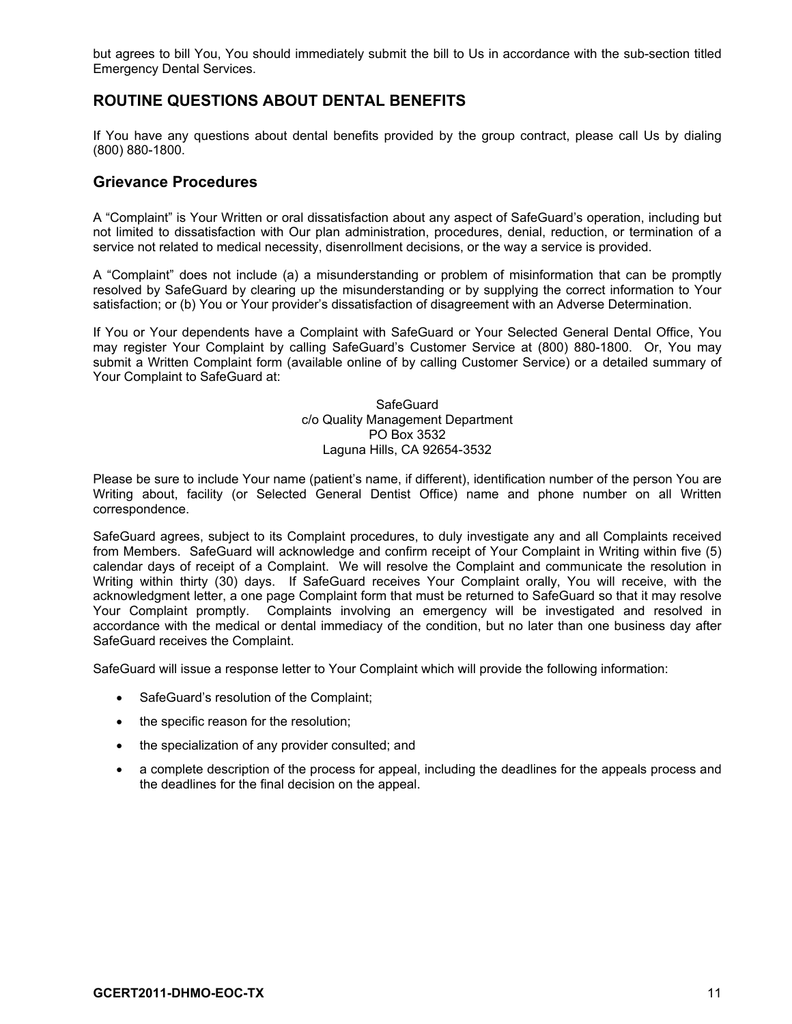but agrees to bill You, You should immediately submit the bill to Us in accordance with the sub-section titled Emergency Dental Services.

# **ROUTINE QUESTIONS ABOUT DENTAL BENEFITS**

If You have any questions about dental benefits provided by the group contract, please call Us by dialing (800) 880-1800.

## <span id="page-10-1"></span>**Grievance Procedures**

A "Complaint" is Your Written or oral dissatisfaction about any aspect of SafeGuard's operation, including but not limited to dissatisfaction with Our plan administration, procedures, denial, reduction, or termination of a service not related to medical necessity, disenrollment decisions, or the way a service is provided.

A "Complaint" does not include (a) a misunderstanding or problem of misinformation that can be promptly resolved by SafeGuard by clearing up the misunderstanding or by supplying the correct information to Your satisfaction; or (b) You or Your provider's dissatisfaction of disagreement with an Adverse Determination.

If You or Your dependents have a Complaint with SafeGuard or Your Selected General Dental Office, You may register Your Complaint by calling SafeGuard's Customer Service at (800) 880-1800. Or, You may submit a Written Complaint form (available online of by calling Customer Service) or a detailed summary of Your Complaint to SafeGuard at:

> <span id="page-10-0"></span>**SafeGuard** c/o Quality Management Department PO Box 3532 Laguna Hills, CA 92654-3532

Please be sure to include Your name (patient's name, if different), identification number of the person You are Writing about, facility (or Selected General Dentist Office) name and phone number on all Written correspondence.

SafeGuard agrees, subject to its Complaint procedures, to duly investigate any and all Complaints received from Members. SafeGuard will acknowledge and confirm receipt of Your Complaint in Writing within five (5) calendar days of receipt of a Complaint. We will resolve the Complaint and communicate the resolution in Writing within thirty (30) days. If SafeGuard receives Your Complaint orally, You will receive, with the acknowledgment letter, a one page Complaint form that must be returned to SafeGuard so that it may resolve Your Complaint promptly. Complaints involving an emergency will be investigated and resolved in accordance with the medical or dental immediacy of the condition, but no later than one business day after SafeGuard receives the Complaint.

SafeGuard will issue a response letter to Your Complaint which will provide the following information:

- · SafeGuard's resolution of the Complaint;
- · the specific reason for the resolution;
- · the specialization of any provider consulted; and
- · a complete description of the process for appeal, including the deadlines for the appeals process and the deadlines for the final decision on the appeal.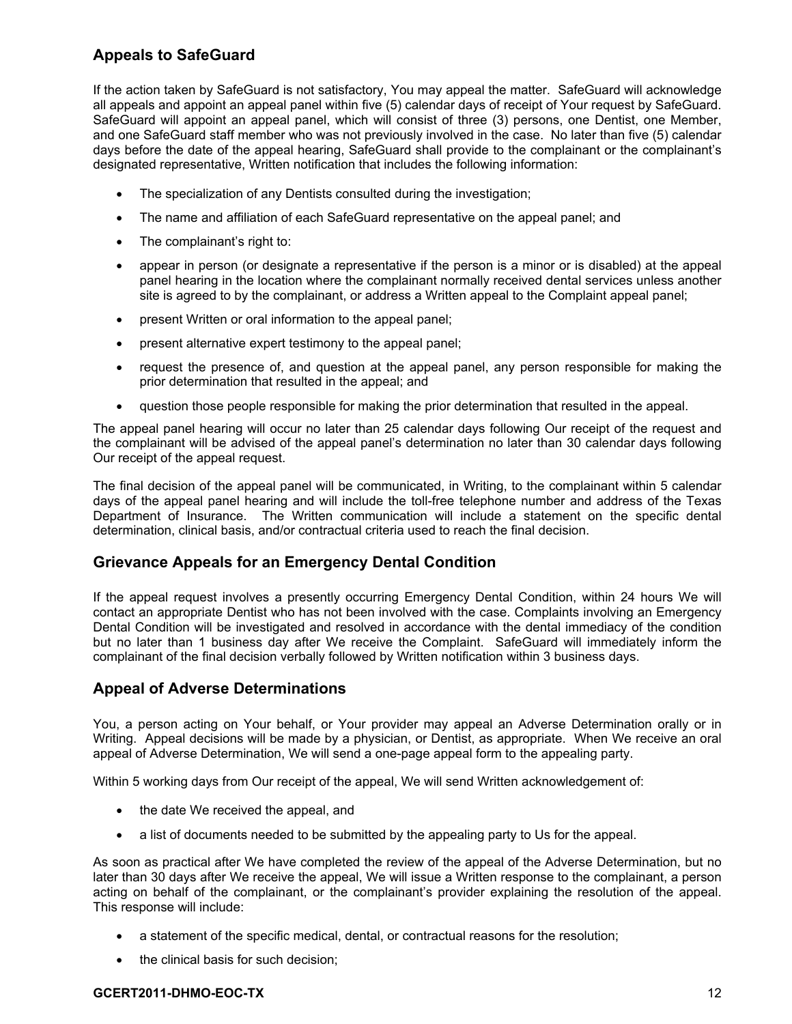# <span id="page-11-0"></span>**Appeals to SafeGuard**

If the action taken by SafeGuard is not satisfactory, You may appeal the matter. SafeGuard will acknowledge all appeals and appoint an appeal panel within five (5) calendar days of receipt of Your request by SafeGuard. SafeGuard will appoint an appeal panel, which will consist of three (3) persons, one Dentist, one Member, and one SafeGuard staff member who was not previously involved in the case. No later than five (5) calendar days before the date of the appeal hearing, SafeGuard shall provide to the complainant or the complainant's designated representative, Written notification that includes the following information:

- The specialization of any Dentists consulted during the investigation;
- · The name and affiliation of each SafeGuard representative on the appeal panel; and
- · The complainant's right to:
- · appear in person (or designate a representative if the person is a minor or is disabled) at the appeal panel hearing in the location where the complainant normally received dental services unless another site is agreed to by the complainant, or address a Written appeal to the Complaint appeal panel;
- · present Written or oral information to the appeal panel;
- · present alternative expert testimony to the appeal panel;
- · request the presence of, and question at the appeal panel, any person responsible for making the prior determination that resulted in the appeal; and
- · question those people responsible for making the prior determination that resulted in the appeal.

The appeal panel hearing will occur no later than 25 calendar days following Our receipt of the request and the complainant will be advised of the appeal panel's determination no later than 30 calendar days following Our receipt of the appeal request.

The final decision of the appeal panel will be communicated, in Writing, to the complainant within 5 calendar days of the appeal panel hearing and will include the toll-free telephone number and address of the Texas Department of Insurance. The Written communication will include a statement on the specific dental determination, clinical basis, and/or contractual criteria used to reach the final decision.

## <span id="page-11-1"></span>**Grievance Appeals for an Emergency Dental Condition**

If the appeal request involves a presently occurring Emergency Dental Condition, within 24 hours We will contact an appropriate Dentist who has not been involved with the case. Complaints involving an Emergency Dental Condition will be investigated and resolved in accordance with the dental immediacy of the condition but no later than 1 business day after We receive the Complaint. SafeGuard will immediately inform the complainant of the final decision verbally followed by Written notification within 3 business days.

## <span id="page-11-2"></span>**Appeal of Adverse Determinations**

You, a person acting on Your behalf, or Your provider may appeal an Adverse Determination orally or in Writing. Appeal decisions will be made by a physician, or Dentist, as appropriate. When We receive an oral appeal of Adverse Determination, We will send a one-page appeal form to the appealing party.

Within 5 working days from Our receipt of the appeal, We will send Written acknowledgement of:

- · the date We received the appeal, and
- · a list of documents needed to be submitted by the appealing party to Us for the appeal.

As soon as practical after We have completed the review of the appeal of the Adverse Determination, but no later than 30 days after We receive the appeal, We will issue a Written response to the complainant, a person acting on behalf of the complainant, or the complainant's provider explaining the resolution of the appeal. This response will include:

- · a statement of the specific medical, dental, or contractual reasons for the resolution;
- the clinical basis for such decision;

#### **GCERT2011-DHMO-EOC-TX** 12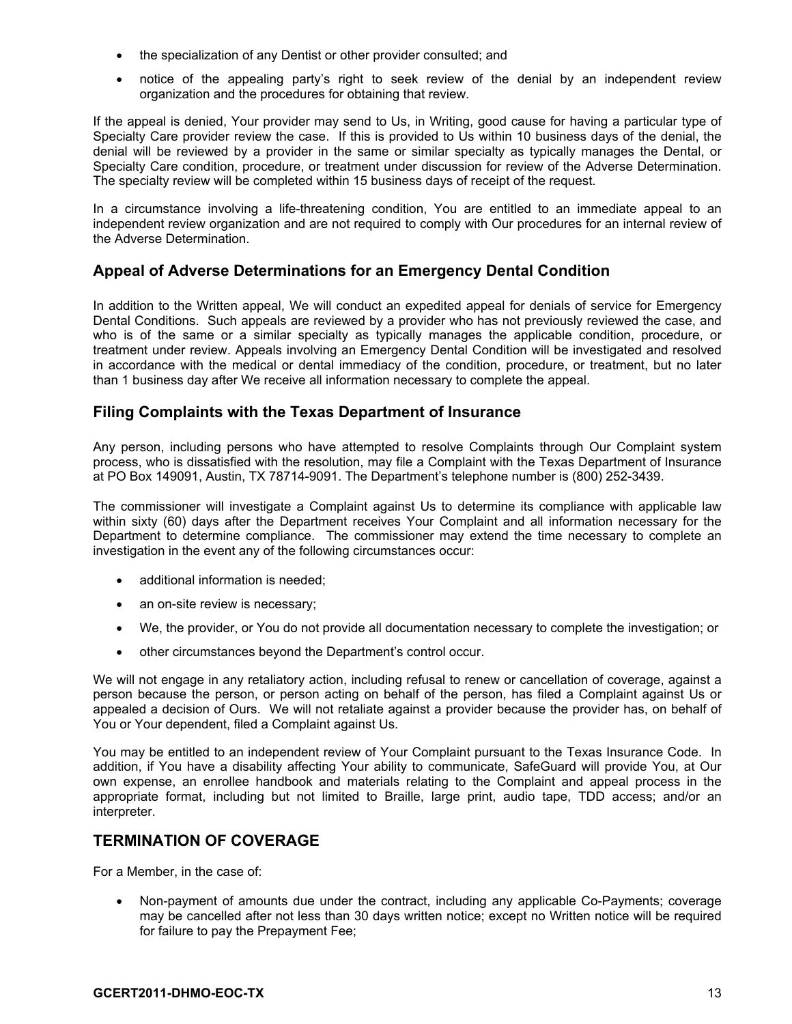- the specialization of any Dentist or other provider consulted; and
- · notice of the appealing party's right to seek review of the denial by an independent review organization and the procedures for obtaining that review.

If the appeal is denied, Your provider may send to Us, in Writing, good cause for having a particular type of Specialty Care provider review the case. If this is provided to Us within 10 business days of the denial, the denial will be reviewed by a provider in the same or similar specialty as typically manages the Dental, or Specialty Care condition, procedure, or treatment under discussion for review of the Adverse Determination. The specialty review will be completed within 15 business days of receipt of the request.

In a circumstance involving a life-threatening condition, You are entitled to an immediate appeal to an independent review organization and are not required to comply with Our procedures for an internal review of the Adverse Determination.

# <span id="page-12-0"></span>**Appeal of Adverse Determinations for an Emergency Dental Condition**

In addition to the Written appeal, We will conduct an expedited appeal for denials of service for Emergency Dental Conditions. Such appeals are reviewed by a provider who has not previously reviewed the case, and who is of the same or a similar specialty as typically manages the applicable condition, procedure, or treatment under review. Appeals involving an Emergency Dental Condition will be investigated and resolved in accordance with the medical or dental immediacy of the condition, procedure, or treatment, but no later than 1 business day after We receive all information necessary to complete the appeal.

## <span id="page-12-1"></span>**Filing Complaints with the Texas Department of Insurance**

Any person, including persons who have attempted to resolve Complaints through Our Complaint system process, who is dissatisfied with the resolution, may file a Complaint with the Texas Department of Insurance at PO Box 149091, Austin, TX 78714-9091. The Department's telephone number is (800) 252-3439.

The commissioner will investigate a Complaint against Us to determine its compliance with applicable law within sixty (60) days after the Department receives Your Complaint and all information necessary for the Department to determine compliance. The commissioner may extend the time necessary to complete an investigation in the event any of the following circumstances occur:

- additional information is needed:
- an on-site review is necessary;
- · We, the provider, or You do not provide all documentation necessary to complete the investigation; or
- · other circumstances beyond the Department's control occur.

We will not engage in any retaliatory action, including refusal to renew or cancellation of coverage, against a person because the person, or person acting on behalf of the person, has filed a Complaint against Us or appealed a decision of Ours. We will not retaliate against a provider because the provider has, on behalf of You or Your dependent, filed a Complaint against Us.

You may be entitled to an independent review of Your Complaint pursuant to the Texas Insurance Code. In addition, if You have a disability affecting Your ability to communicate, SafeGuard will provide You, at Our own expense, an enrollee handbook and materials relating to the Complaint and appeal process in the appropriate format, including but not limited to Braille, large print, audio tape, TDD access; and/or an interpreter.

## **TERMINATION OF COVERAGE**

For a Member, in the case of:

<span id="page-12-2"></span>· Non-payment of amounts due under the contract, including any applicable Co-Payments; coverage may be cancelled after not less than 30 days written notice; except no Written notice will be required for failure to pay the Prepayment Fee;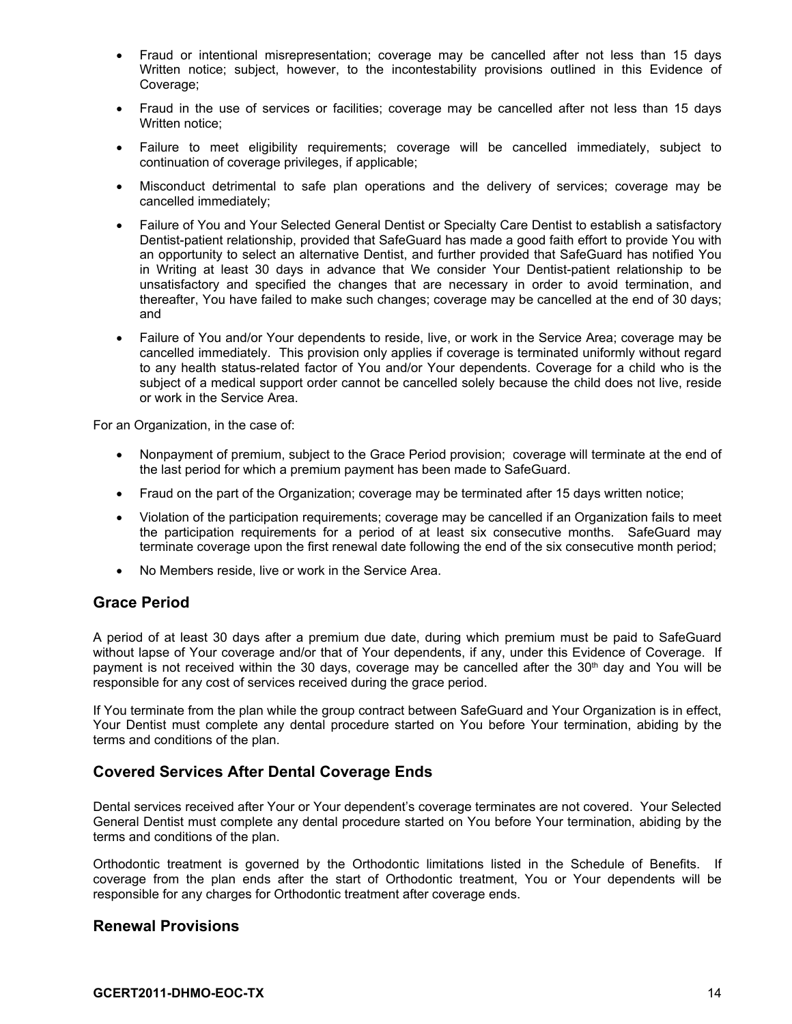- · Fraud or intentional misrepresentation; coverage may be cancelled after not less than 15 days Written notice; subject, however, to the incontestability provisions outlined in this Evidence of Coverage;
- · Fraud in the use of services or facilities; coverage may be cancelled after not less than 15 days Written notice;
- · Failure to meet eligibility requirements; coverage will be cancelled immediately, subject to continuation of coverage privileges, if applicable;
- · Misconduct detrimental to safe plan operations and the delivery of services; coverage may be cancelled immediately;
- · Failure of You and Your Selected General Dentist or Specialty Care Dentist to establish a satisfactory Dentist-patient relationship, provided that SafeGuard has made a good faith effort to provide You with an opportunity to select an alternative Dentist, and further provided that SafeGuard has notified You in Writing at least 30 days in advance that We consider Your Dentist-patient relationship to be unsatisfactory and specified the changes that are necessary in order to avoid termination, and thereafter, You have failed to make such changes; coverage may be cancelled at the end of 30 days; and
- Failure of You and/or Your dependents to reside, live, or work in the Service Area; coverage may be cancelled immediately. This provision only applies if coverage is terminated uniformly without regard to any health status-related factor of You and/or Your dependents. Coverage for a child who is the subject of a medical support order cannot be cancelled solely because the child does not live, reside or work in the Service Area.

For an Organization, in the case of:

- · Nonpayment of premium, subject to the Grace Period provision; coverage will terminate at the end of the last period for which a premium payment has been made to SafeGuard.
- · Fraud on the part of the Organization; coverage may be terminated after 15 days written notice;
- · Violation of the participation requirements; coverage may be cancelled if an Organization fails to meet the participation requirements for a period of at least six consecutive months. SafeGuard may terminate coverage upon the first renewal date following the end of the six consecutive month period;
- <span id="page-13-0"></span>No Members reside, live or work in the Service Area.

## **Grace Period**

A period of at least 30 days after a premium due date, during which premium must be paid to SafeGuard without lapse of Your coverage and/or that of Your dependents, if any, under this Evidence of Coverage. If payment is not received within the 30 days, coverage may be cancelled after the 30<sup>th</sup> day and You will be responsible for any cost of services received during the grace period.

If You terminate from the plan while the group contract between SafeGuard and Your Organization is in effect, Your Dentist must complete any dental procedure started on You before Your termination, abiding by the terms and conditions of the plan.

#### <span id="page-13-1"></span>**Covered Services After Dental Coverage Ends**

Dental services received after Your or Your dependent's coverage terminates are not covered. Your Selected General Dentist must complete any dental procedure started on You before Your termination, abiding by the terms and conditions of the plan.

Orthodontic treatment is governed by the Orthodontic limitations listed in the Schedule of Benefits. If coverage from the plan ends after the start of Orthodontic treatment, You or Your dependents will be responsible for any charges for Orthodontic treatment after coverage ends.

#### <span id="page-13-2"></span>**Renewal Provisions**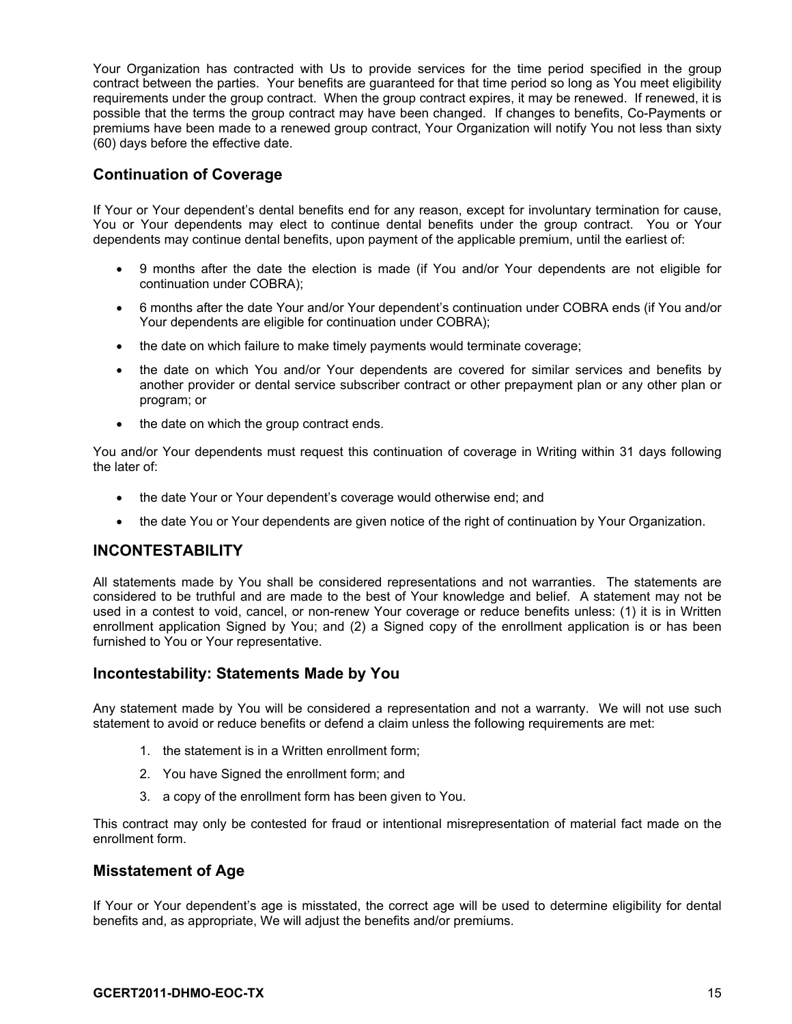Your Organization has contracted with Us to provide services for the time period specified in the group contract between the parties. Your benefits are guaranteed for that time period so long as You meet eligibility requirements under the group contract. When the group contract expires, it may be renewed. If renewed, it is possible that the terms the group contract may have been changed. If changes to benefits, Co-Payments or premiums have been made to a renewed group contract, Your Organization will notify You not less than sixty (60) days before the effective date.

## <span id="page-14-0"></span>**Continuation of Coverage**

If Your or Your dependent's dental benefits end for any reason, except for involuntary termination for cause, You or Your dependents may elect to continue dental benefits under the group contract. You or Your dependents may continue dental benefits, upon payment of the applicable premium, until the earliest of:

- · 9 months after the date the election is made (if You and/or Your dependents are not eligible for continuation under COBRA);
- · 6 months after the date Your and/or Your dependent's continuation under COBRA ends (if You and/or Your dependents are eligible for continuation under COBRA);
- · the date on which failure to make timely payments would terminate coverage;
- · the date on which You and/or Your dependents are covered for similar services and benefits by another provider or dental service subscriber contract or other prepayment plan or any other plan or program; or
- the date on which the group contract ends.

You and/or Your dependents must request this continuation of coverage in Writing within 31 days following the later of:

- the date Your or Your dependent's coverage would otherwise end; and
- <span id="page-14-1"></span>• the date You or Your dependents are given notice of the right of continuation by Your Organization.

## **INCONTESTABILITY**

All statements made by You shall be considered representations and not warranties. The statements are considered to be truthful and are made to the best of Your knowledge and belief. A statement may not be used in a contest to void, cancel, or non-renew Your coverage or reduce benefits unless: (1) it is in Written enrollment application Signed by You; and (2) a Signed copy of the enrollment application is or has been furnished to You or Your representative.

#### **Incontestability: Statements Made by You**

Any statement made by You will be considered a representation and not a warranty. We will not use such statement to avoid or reduce benefits or defend a claim unless the following requirements are met:

- <span id="page-14-2"></span>1. the statement is in a Written enrollment form;
- 2. You have Signed the enrollment form; and
- <span id="page-14-3"></span>3. a copy of the enrollment form has been given to You.

This contract may only be contested for fraud or intentional misrepresentation of material fact made on the enrollment form.

## **Misstatement of Age**

If Your or Your dependent's age is misstated, the correct age will be used to determine eligibility for dental benefits and, as appropriate, We will adjust the benefits and/or premiums.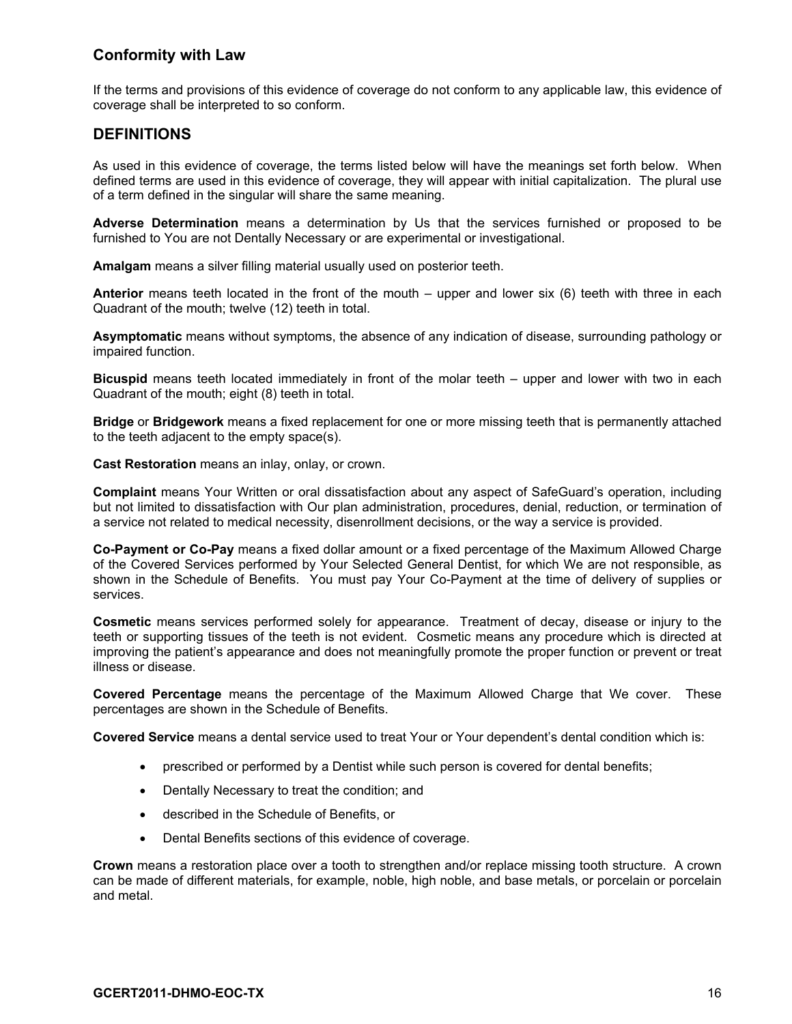# <span id="page-15-0"></span>**Conformity with Law**

If the terms and provisions of this evidence of coverage do not conform to any applicable law, this evidence of coverage shall be interpreted to so conform.

## <span id="page-15-1"></span>**DEFINITIONS**

As used in this evidence of coverage, the terms listed below will have the meanings set forth below. When defined terms are used in this evidence of coverage, they will appear with initial capitalization. The plural use of a term defined in the singular will share the same meaning.

**Adverse Determination** means a determination by Us that the services furnished or proposed to be furnished to You are not Dentally Necessary or are experimental or investigational.

**Amalgam** means a silver filling material usually used on posterior teeth.

**Anterior** means teeth located in the front of the mouth – upper and lower six (6) teeth with three in each Quadrant of the mouth; twelve (12) teeth in total.

**Asymptomatic** means without symptoms, the absence of any indication of disease, surrounding pathology or impaired function.

**Bicuspid** means teeth located immediately in front of the molar teeth – upper and lower with two in each Quadrant of the mouth; eight (8) teeth in total.

**Bridge** or **Bridgework** means a fixed replacement for one or more missing teeth that is permanently attached to the teeth adjacent to the empty space(s).

**Cast Restoration** means an inlay, onlay, or crown.

**Complaint** means Your Written or oral dissatisfaction about any aspect of SafeGuard's operation, including but not limited to dissatisfaction with Our plan administration, procedures, denial, reduction, or termination of a service not related to medical necessity, disenrollment decisions, or the way a service is provided.

**Co-Payment or Co-Pay** means a fixed dollar amount or a fixed percentage of the Maximum Allowed Charge of the Covered Services performed by Your Selected General Dentist, for which We are not responsible, as shown in the Schedule of Benefits. You must pay Your Co-Payment at the time of delivery of supplies or services.

**Cosmetic** means services performed solely for appearance. Treatment of decay, disease or injury to the teeth or supporting tissues of the teeth is not evident. Cosmetic means any procedure which is directed at improving the patient's appearance and does not meaningfully promote the proper function or prevent or treat illness or disease.

**Covered Percentage** means the percentage of the Maximum Allowed Charge that We cover. These percentages are shown in the Schedule of Benefits.

**Covered Service** means a dental service used to treat Your or Your dependent's dental condition which is:

- · prescribed or performed by a Dentist while such person is covered for dental benefits;
- · Dentally Necessary to treat the condition; and
- · described in the Schedule of Benefits, or
- · Dental Benefits sections of this evidence of coverage.

**Crown** means a restoration place over a tooth to strengthen and/or replace missing tooth structure. A crown can be made of different materials, for example, noble, high noble, and base metals, or porcelain or porcelain and metal.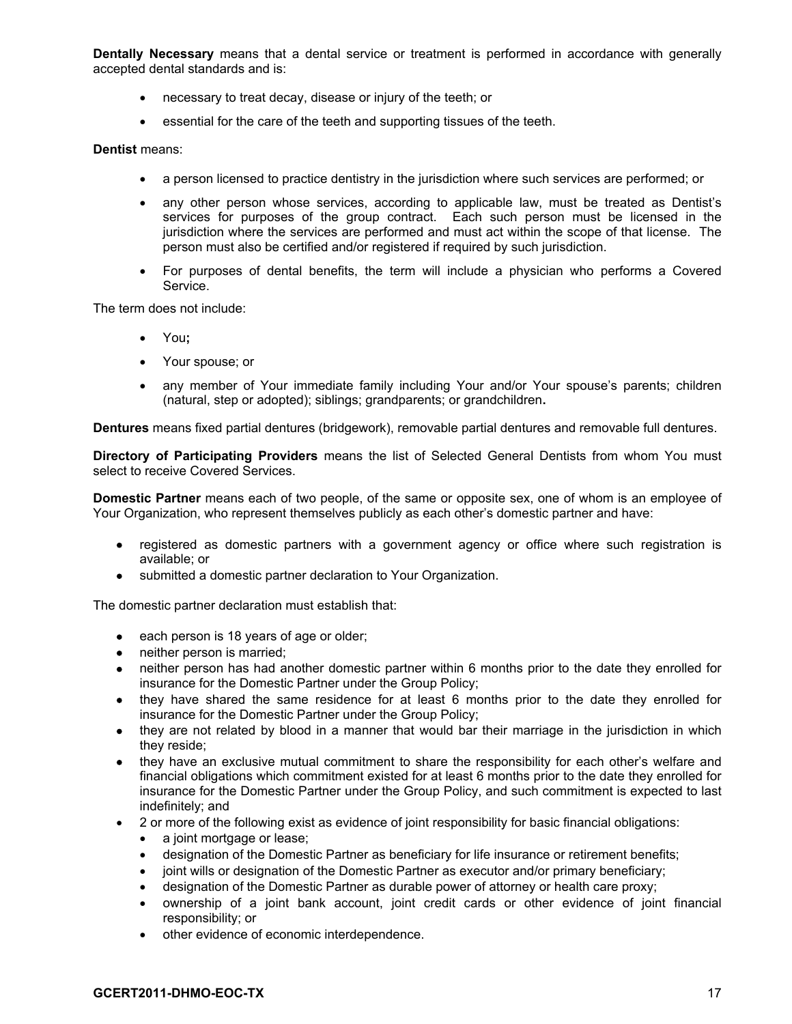**Dentally Necessary** means that a dental service or treatment is performed in accordance with generally accepted dental standards and is:

- · necessary to treat decay, disease or injury of the teeth; or
- · essential for the care of the teeth and supporting tissues of the teeth.

#### **Dentist** means:

- · a person licensed to practice dentistry in the jurisdiction where such services are performed; or
- · any other person whose services, according to applicable law, must be treated as Dentist's services for purposes of the group contract. Each such person must be licensed in the jurisdiction where the services are performed and must act within the scope of that license. The person must also be certified and/or registered if required by such jurisdiction.
- · For purposes of dental benefits, the term will include a physician who performs a Covered Service.

The term does not include:

- · You**;**
- · Your spouse; or
- · any member of Your immediate family including Your and/or Your spouse's parents; children (natural, step or adopted); siblings; grandparents; or grandchildren**.**

**Dentures** means fixed partial dentures (bridgework), removable partial dentures and removable full dentures.

**Directory of Participating Providers** means the list of Selected General Dentists from whom You must select to receive Covered Services.

**Domestic Partner** means each of two people, of the same or opposite sex, one of whom is an employee of Your Organization, who represent themselves publicly as each other's domestic partner and have:

- · registered as domestic partners with a government agency or office where such registration is available; or
- · submitted a domestic partner declaration to Your Organization.

The domestic partner declaration must establish that:

- each person is 18 years of age or older;
- neither person is married:
- · neither person has had another domestic partner within 6 months prior to the date they enrolled for insurance for the Domestic Partner under the Group Policy;
- · they have shared the same residence for at least 6 months prior to the date they enrolled for insurance for the Domestic Partner under the Group Policy;
- they are not related by blood in a manner that would bar their marriage in the jurisdiction in which they reside;
- they have an exclusive mutual commitment to share the responsibility for each other's welfare and financial obligations which commitment existed for at least 6 months prior to the date they enrolled for insurance for the Domestic Partner under the Group Policy, and such commitment is expected to last indefinitely; and
- · 2 or more of the following exist as evidence of joint responsibility for basic financial obligations:
	- · a joint mortgage or lease;
	- · designation of the Domestic Partner as beneficiary for life insurance or retirement benefits;
	- · joint wills or designation of the Domestic Partner as executor and/or primary beneficiary;
	- · designation of the Domestic Partner as durable power of attorney or health care proxy;
	- · ownership of a joint bank account, joint credit cards or other evidence of joint financial responsibility; or
	- · other evidence of economic interdependence.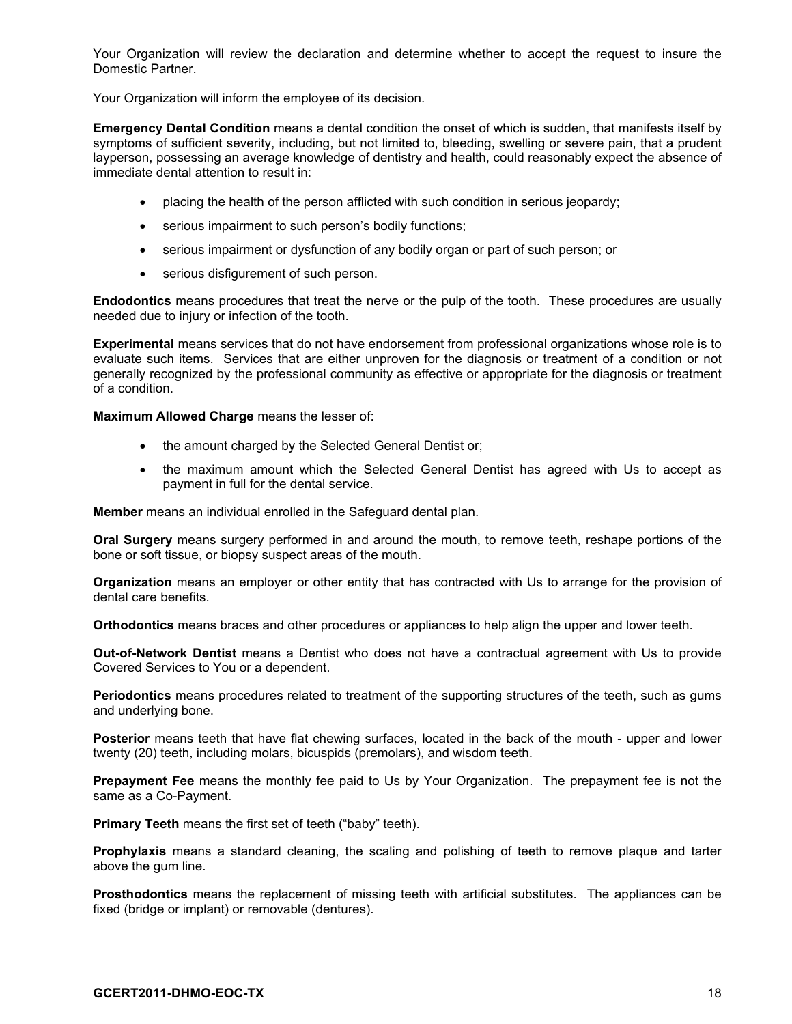Your Organization will review the declaration and determine whether to accept the request to insure the Domestic Partner.

Your Organization will inform the employee of its decision.

**Emergency Dental Condition** means a dental condition the onset of which is sudden, that manifests itself by symptoms of sufficient severity, including, but not limited to, bleeding, swelling or severe pain, that a prudent layperson, possessing an average knowledge of dentistry and health, could reasonably expect the absence of immediate dental attention to result in:

- · placing the health of the person afflicted with such condition in serious jeopardy;
- · serious impairment to such person's bodily functions;
- · serious impairment or dysfunction of any bodily organ or part of such person; or
- · serious disfigurement of such person.

**Endodontics** means procedures that treat the nerve or the pulp of the tooth. These procedures are usually needed due to injury or infection of the tooth.

**Experimental** means services that do not have endorsement from professional organizations whose role is to evaluate such items. Services that are either unproven for the diagnosis or treatment of a condition or not generally recognized by the professional community as effective or appropriate for the diagnosis or treatment of a condition.

**Maximum Allowed Charge** means the lesser of:

- the amount charged by the Selected General Dentist or;
- the maximum amount which the Selected General Dentist has agreed with Us to accept as payment in full for the dental service.

**Member** means an individual enrolled in the Safeguard dental plan.

**Oral Surgery** means surgery performed in and around the mouth, to remove teeth, reshape portions of the bone or soft tissue, or biopsy suspect areas of the mouth.

**Organization** means an employer or other entity that has contracted with Us to arrange for the provision of dental care benefits.

**Orthodontics** means braces and other procedures or appliances to help align the upper and lower teeth.

**Out-of-Network Dentist** means a Dentist who does not have a contractual agreement with Us to provide Covered Services to You or a dependent.

**Periodontics** means procedures related to treatment of the supporting structures of the teeth, such as gums and underlying bone.

**Posterior** means teeth that have flat chewing surfaces, located in the back of the mouth - upper and lower twenty (20) teeth, including molars, bicuspids (premolars), and wisdom teeth.

**Prepayment Fee** means the monthly fee paid to Us by Your Organization. The prepayment fee is not the same as a Co-Payment.

**Primary Teeth** means the first set of teeth ("baby" teeth).

**Prophylaxis** means a standard cleaning, the scaling and polishing of teeth to remove plaque and tarter above the gum line.

**Prosthodontics** means the replacement of missing teeth with artificial substitutes. The appliances can be fixed (bridge or implant) or removable (dentures).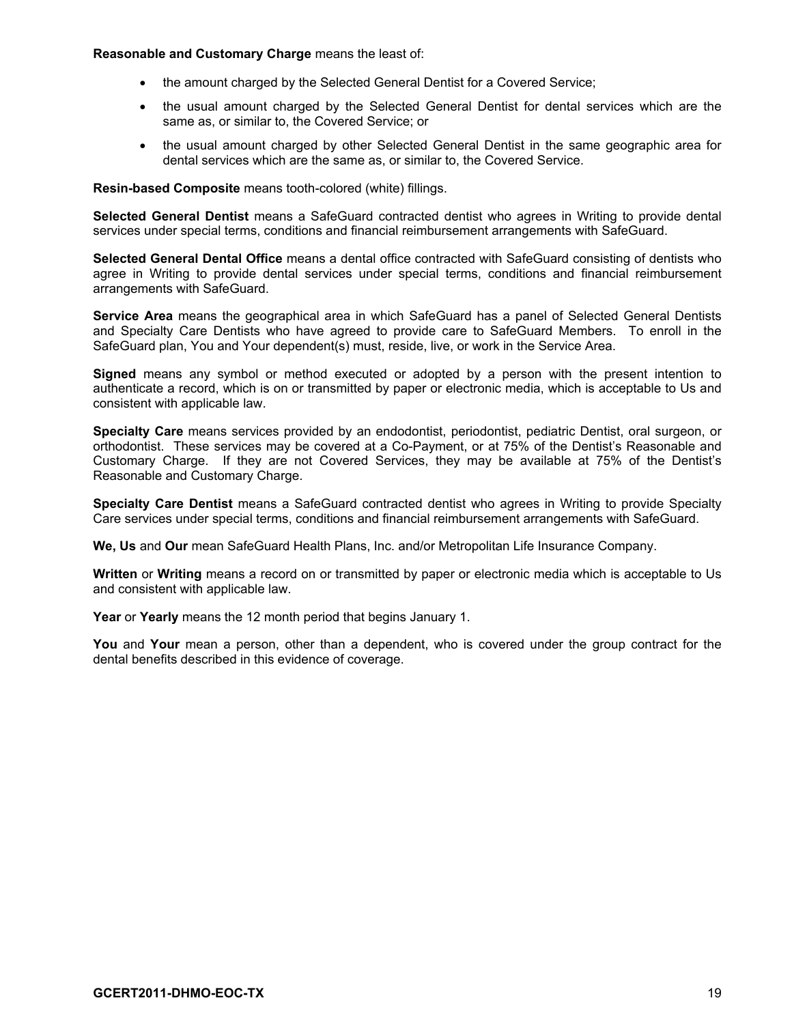#### **Reasonable and Customary Charge** means the least of:

- · the amount charged by the Selected General Dentist for a Covered Service;
- · the usual amount charged by the Selected General Dentist for dental services which are the same as, or similar to, the Covered Service; or
- · the usual amount charged by other Selected General Dentist in the same geographic area for dental services which are the same as, or similar to, the Covered Service.

#### **Resin-based Composite** means tooth-colored (white) fillings.

**Selected General Dentist** means a SafeGuard contracted dentist who agrees in Writing to provide dental services under special terms, conditions and financial reimbursement arrangements with SafeGuard.

**Selected General Dental Office** means a dental office contracted with SafeGuard consisting of dentists who agree in Writing to provide dental services under special terms, conditions and financial reimbursement arrangements with SafeGuard.

**Service Area** means the geographical area in which SafeGuard has a panel of Selected General Dentists and Specialty Care Dentists who have agreed to provide care to SafeGuard Members. To enroll in the SafeGuard plan, You and Your dependent(s) must, reside, live, or work in the Service Area.

**Signed** means any symbol or method executed or adopted by a person with the present intention to authenticate a record, which is on or transmitted by paper or electronic media, which is acceptable to Us and consistent with applicable law.

**Specialty Care** means services provided by an endodontist, periodontist, pediatric Dentist, oral surgeon, or orthodontist. These services may be covered at a Co-Payment, or at 75% of the Dentist's Reasonable and Customary Charge. If they are not Covered Services, they may be available at 75% of the Dentist's Reasonable and Customary Charge.

**Specialty Care Dentist** means a SafeGuard contracted dentist who agrees in Writing to provide Specialty Care services under special terms, conditions and financial reimbursement arrangements with SafeGuard.

**We, Us** and **Our** mean SafeGuard Health Plans, Inc. and/or Metropolitan Life Insurance Company.

**Written** or **Writing** means a record on or transmitted by paper or electronic media which is acceptable to Us and consistent with applicable law.

**Year** or **Yearly** means the 12 month period that begins January 1.

**You** and **Your** mean a person, other than a dependent, who is covered under the group contract for the dental benefits described in this evidence of coverage.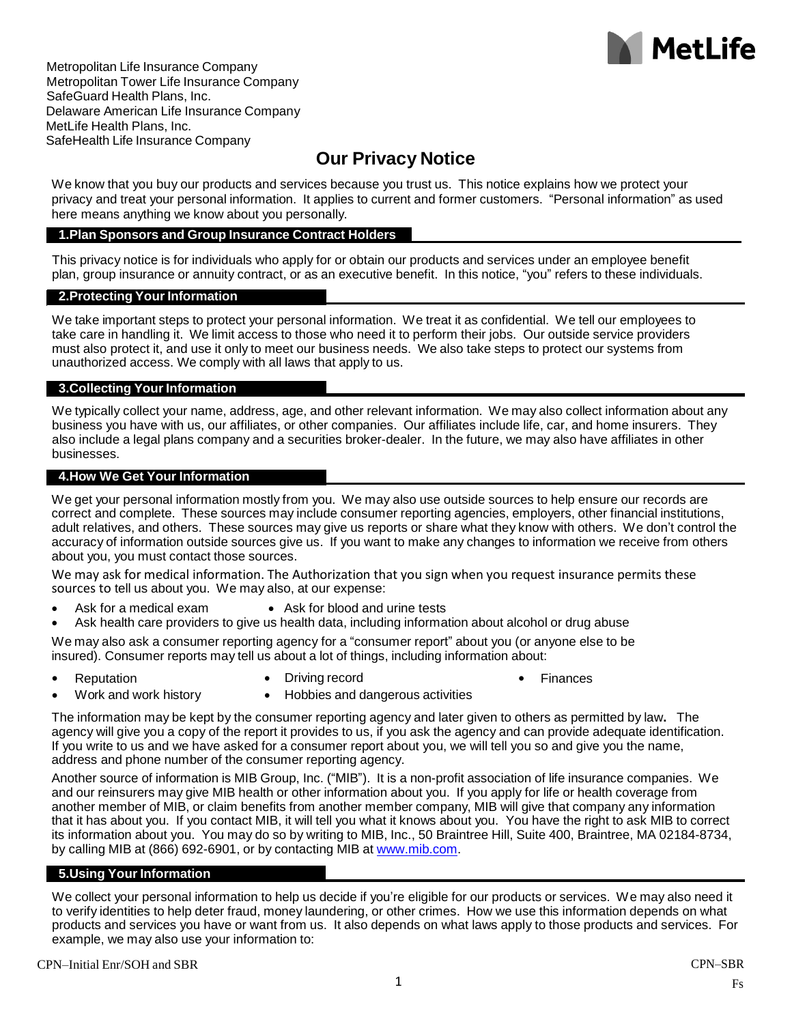

Metropolitan Life Insurance Company Metropolitan Tower Life Insurance Company SafeGuard Health Plans, Inc. Delaware American Life Insurance Company MetLife Health Plans, Inc. SafeHealth Life Insurance Company

# **Our Privacy Notice**

We know that you buy our products and services because you trust us. This notice explains how we protect your privacy and treat your personal information. It applies to current and former customers. "Personal information" as used here means anything we know about you personally.

#### **1.Plan Sponsors and Group Insurance Contract Holders**

This privacy notice is for individuals who apply for or obtain our products and services under an employee benefit plan, group insurance or annuity contract, or as an executive benefit. In this notice, "you" refers to these individuals.

#### **2.Protecting Your Information**

We take important steps to protect your personal information. We treat it as confidential. We tell our employees to take care in handling it. We limit access to those who need it to perform their jobs. Our outside service providers must also protect it, and use it only to meet our business needs. We also take steps to protect our systems from unauthorized access. We comply with all laws that apply to us.

#### **3.Collecting Your Information**

We typically collect your name, address, age, and other relevant information. We may also collect information about any business you have with us, our affiliates, or other companies. Our affiliates include life, car, and home insurers. They also include a legal plans company and a securities broker-dealer. In the future, we may also have affiliates in other businesses.

#### **4.How We Get Your Information**

We get your personal information mostly from you. We may also use outside sources to help ensure our records are correct and complete. These sources may include consumer reporting agencies, employers, other financial institutions, adult relatives, and others. These sources may give us reports or share what they know with others. We don't control the accuracy of information outside sources give us. If you want to make any changes to information we receive from others about you, you must contact those sources.

We may ask for medical information. The Authorization that you sign when you request insurance permits these sources to tell us about you. We may also, at our expense:

- Ask for a medical exam Ask for blood and urine tests
- Ask health care providers to give us health data, including information about alcohol or drug abuse

We may also ask a consumer reporting agency for a "consumer report" about you (or anyone else to be insured). Consumer reports may tell us about a lot of things, including information about:

- - Reputation **Contract Contract Contract Contract Contract Contract Contract Contract Contract Contract Contract Contract Contract Contract Contract Contract Contract Contract Contract Contract Contract Contract Contract Con**
- 
- - Work and work history **•** Hobbies and dangerous activities

The information may be kept by the consumer reporting agency and later given to others as permitted by law**.** The agency will give you a copy of the report it provides to us, if you ask the agency and can provide adequate identification. If you write to us and we have asked for a consumer report about you, we will tell you so and give you the name, address and phone number of the consumer reporting agency.

Another source of information is MIB Group, Inc. ("MIB"). It is a non-profit association of life insurance companies. We and our reinsurers may give MIB health or other information about you. If you apply for life or health coverage from another member of MIB, or claim benefits from another member company, MIB will give that company any information that it has about you. If you contact MIB, it will tell you what it knows about you. You have the right to ask MIB to correct its information about you. You may do so by writing to MIB, Inc., 50 Braintree Hill, Suite 400, Braintree, MA 02184-8734, by calling MIB at (866) 692-6901, or by contacting MIB at [www.mib.com.](http://www.mib.com/)

## **5.Using Your Information**

We collect your personal information to help us decide if you're eligible for our products or services. We may also need it to verify identities to help deter fraud, money laundering, or other crimes. How we use this information depends on what products and services you have or want from us. It also depends on what laws apply to those products and services. For example, we may also use your information to: